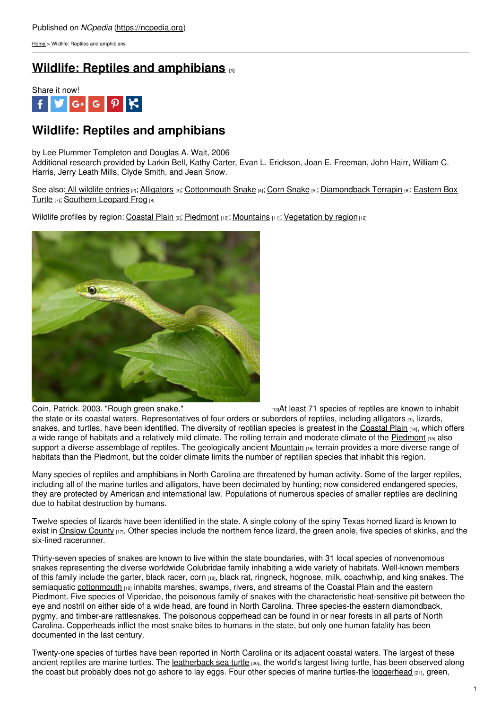[Home](https://ncpedia.org/) > Wildlife: Reptiles and amphibians

# **Wildlife: Reptiles and [amphibians](https://ncpedia.org/wildlife/reptiles-amphibians) [1]**



## **Wildlife: Reptiles and amphibians**

by Lee Plummer Templeton and Douglas A. Wait, 2006 Additional research provided by Larkin Bell, Kathy Carter, Evan L. Erickson, Joan E. Freeman, John Hairr, William C. Harris, Jerry Leath Mills, Clyde Smith, and Jean Snow.

See also: All [wildlife](https://ncpedia.org/category/subjects/wildlife) entries [2]; [Alligators](https://ncpedia.org/alligators) [3]; [Cottonmouth](https://ncpedia.org/wildlife/cottonmouth) [Snake](https://ncpedia.org/wildlife/corn-snake) [4]; Corn Snake [5]; [Diamondback](https://ncpedia.org/wildlife/box-turtle) Terrapin [6]; Eastern Box Turtle [7]; [Southern](https://ncpedia.org/wildlife/southern-leopard-frog) Leopard Frog [8]

Wildlife profiles by region: [Coastal](https://ncpedia.org/wildlife/coastal-plain) Plain [9]; [Piedmont](https://ncpedia.org/wildlife/piedmont) [10]; [Mountains](https://ncpedia.org/wildlife/mountains) [11]; [Vegetation](https://ncpedia.org/vegetation) by region [12]



Coin, [Patrick.](https://www.flickr.com/photos/pcoin/98562229) 2003. "Rough green snake." [13]At least 71 species of reptiles are known to inhabit the state or its coastal waters. Representatives of four orders or suborders of reptiles, including [alligators](https://ncpedia.org/alligators)  $[3]$ , lizards, snakes, and turtles, have been identified. The diversity of reptilian species is greatest in the [Coastal](https://ncpedia.org/geography/region/coastal-plain) Plain [14], which offers a wide range of habitats and a relatively mild climate. The rolling terrain and moderate climate of the [Piedmont](https://ncpedia.org/geography/region/piedmont) [15] also support a diverse assemblage of reptiles. The geologically ancient [Mountain](https://ncpedia.org/our-state-geography-snap-mountain) [16] terrain provides a more diverse range of habitats than the Piedmont, but the colder climate limits the number of reptilian species that inhabit this region.

Many species of reptiles and amphibians in North Carolina are threatened by human activity. Some of the larger reptiles, including all of the marine turtles and alligators, have been decimated by hunting; now considered endangered species, they are protected by American and international law. Populations of numerous species of smaller reptiles are declining due to habitat destruction by humans.

Twelve species of lizards have been identified in the state. A single colony of the spiny Texas horned lizard is known to exist in [Onslow](https://ncpedia.org/geography/onslow) County [17]. Other species include the northern fence lizard, the green anole, five species of skinks, and the six-lined racerunner.

Thirty-seven species of snakes are known to live within the state boundaries, with 31 local species of nonvenomous snakes representing the diverse worldwide Colubridae family inhabiting a wide variety of habitats. Well-known members of this family include the garter, black racer, [corn](https://ncpedia.org/corn-snake-nc-wins) [18], black rat, ringneck, hognose, milk, coachwhip, and king snakes. The semiaquatic [cottonmouth](https://ncpedia.org/cottonmouth-nc-wins) [19] inhabits marshes, swamps, rivers, and streams of the Coastal Plain and the eastern Piedmont. Five species of Viperidae, the poisonous family of snakes with the characteristic heat-sensitive pit between the eye and nostril on either side of a wide head, are found in North Carolina. Three species-the eastern diamondback, pygmy, and timber-are rattlesnakes. The poisonous copperhead can be found in or near forests in all parts of North Carolina. Copperheads inflict the most snake bites to humans in the state, but only one human fatality has been documented in the last century.

Twenty-one species of turtles have been reported in North Carolina or its adjacent coastal waters. The largest of these ancient reptiles are marine turtles. The [leatherback](http://www.nmfs.noaa.gov/pr/species/turtles/leatherback.htm) sea turtle <sub>[20]</sub>, the world's largest living turtle, has been observed along the coast but probably does not go ashore to lay eggs. Four other species of marine turtles-the [loggerhead](http://www.nmfs.noaa.gov/pr/species/turtles/loggerhead.htm)  $_{[21]}$ , green,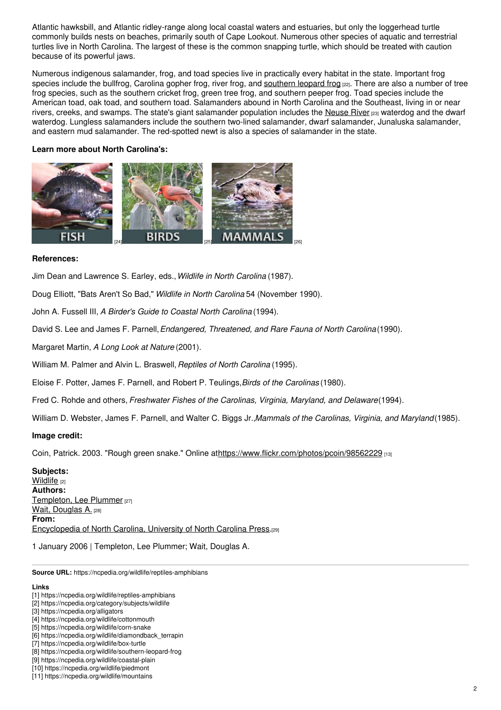Atlantic hawksbill, and Atlantic ridley-range along local coastal waters and estuaries, but only the loggerhead turtle commonly builds nests on beaches, primarily south of Cape Lookout. Numerous other species of aquatic and terrestrial turtles live in North Carolina. The largest of these is the common snapping turtle, which should be treated with caution because of its powerful jaws.

Numerous indigenous salamander, frog, and toad species live in practically every habitat in the state. Important frog species include the bullfrog, Carolina gopher frog, river frog, and [southern](https://ncpedia.org/southern-leopard-frog-nc-wins) leopard frog [22]. There are also a number of tree frog species, such as the southern cricket frog, green tree frog, and southern peeper frog. Toad species include the American toad, oak toad, and southern toad. Salamanders abound in North Carolina and the Southeast, living in or near rivers, creeks, and swamps. The state's giant salamander population includes the [Neuse](https://ncpedia.org/rivers/neuse) River [23] waterdog and the dwarf waterdog. Lungless salamanders include the southern two-lined salamander, dwarf salamander, Junaluska salamander, and eastern mud salamander. The red-spotted newt is also a species of salamander in the state.

### **Learn more about North Carolina's:**



#### **References:**

Jim Dean and Lawrence S. Earley, eds.,*Wildlife in North Carolina* (1987).

Doug Elliott, "Bats Aren't So Bad," *Wildlife in North Carolina* 54 (November 1990).

John A. Fussell III, *A Birder's Guide to Coastal North Carolina* (1994).

David S. Lee and James F. Parnell,*Endangered, Threatened, and Rare Fauna of North Carolina*(1990).

Margaret Martin, *A Long Look at Nature* (2001).

William M. Palmer and Alvin L. Braswell,*Reptiles of North Carolina* (1995).

Eloise F. Potter, James F. Parnell, and Robert P. Teulings,*Birds of the Carolinas* (1980).

Fred C. Rohde and others, *Freshwater Fishes of the Carolinas, Virginia, Maryland, and Delaware*(1994).

William D. Webster, James F. Parnell, and Walter C. Biggs Jr.,*Mammals of the Carolinas, Virginia, and Maryland*(1985).

#### **Image credit:**

Coin, Patrick. 2003. "Rough green snake." Online at<https://www.flickr.com/photos/pcoin/98562229> [13]

**Subjects:** [Wildlife](https://ncpedia.org/category/subjects/wildlife) [2] **Authors:** [Templeton,](https://ncpedia.org/category/authors/templeton-lee-plum) Lee Plummer [27] Wait, [Douglas](https://ncpedia.org/category/authors/wait-douglas) A. [28] **From:** [Encyclopedia](https://ncpedia.org/category/entry-source/encyclopedia-) of North Carolina, University of North Carolina Press.[29]

1 January 2006 | Templeton, Lee Plummer; Wait, Douglas A.

**Source URL:** https://ncpedia.org/wildlife/reptiles-amphibians

#### **Links**

<sup>[1]</sup> https://ncpedia.org/wildlife/reptiles-amphibians

<sup>[2]</sup> https://ncpedia.org/category/subjects/wildlife

<sup>[3]</sup> https://ncpedia.org/alligators

<sup>[4]</sup> https://ncpedia.org/wildlife/cottonmouth

<sup>[5]</sup> https://ncpedia.org/wildlife/corn-snake

<sup>[6]</sup> https://ncpedia.org/wildlife/diamondback\_terrapin

<sup>[7]</sup> https://ncpedia.org/wildlife/box-turtle

<sup>[8]</sup> https://ncpedia.org/wildlife/southern-leopard-frog

<sup>[9]</sup> https://ncpedia.org/wildlife/coastal-plain

<sup>[10]</sup> https://ncpedia.org/wildlife/piedmont

<sup>[11]</sup> https://ncpedia.org/wildlife/mountains